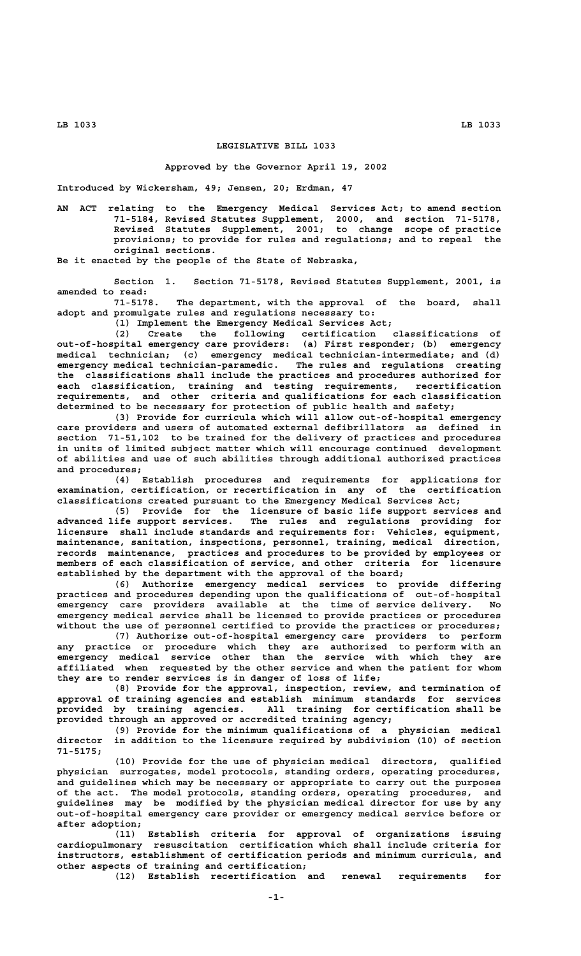## **LEGISLATIVE BILL 1033**

## **Approved by the Governor April 19, 2002**

**Introduced by Wickersham, 49; Jensen, 20; Erdman, 47**

**AN ACT relating to the Emergency Medical Services Act; to amend section 71-5184, Revised Statutes Supplement, 2000, and section 71-5178, Revised Statutes Supplement, 2001; to change scope of practice provisions; to provide for rules and regulations; and to repeal the original sections.**

**Be it enacted by the people of the State of Nebraska,**

**Section 1. Section 71-5178, Revised Statutes Supplement, 2001, is amended to read:**

The department, with the approval of the board, shall **adopt and promulgate rules and regulations necessary to:**

**(1) Implement the Emergency Medical Services Act;**

**(2) Create the following certification classifications of out-of-hospital emergency care providers: (a) First responder; (b) emergency medical technician; (c) emergency medical technician-intermediate; and (d) emergency medical technician-paramedic. The rules and regulations creating the classifications shall include the practices and procedures authorized for each classification, training and testing requirements, recertification requirements, and other criteria and qualifications for each classification determined to be necessary for protection of public health and safety;**

**(3) Provide for curricula which will allow out-of-hospital emergency care providers and users of automated external defibrillators as defined in section 71-51,102 to be trained for the delivery of practices and procedures in units of limited subject matter which will encourage continued development of abilities and use of such abilities through additional authorized practices and procedures;**

**(4) Establish procedures and requirements for applications for examination, certification, or recertification in any of the certification classifications created pursuant to the Emergency Medical Services Act;**

**(5) Provide for the licensure of basic life support services and advanced life support services. The rules and regulations providing for licensure shall include standards and requirements for: Vehicles, equipment, maintenance, sanitation, inspections, personnel, training, medical direction, records maintenance, practices and procedures to be provided by employees or members of each classification of service, and other criteria for licensure established by the department with the approval of the board;**

**(6) Authorize emergency medical services to provide differing practices and procedures depending upon the qualifications of out-of-hospital emergency care providers available at the time of service delivery. No emergency medical service shall be licensed to provide practices or procedures without the use of personnel certified to provide the practices or procedures;**

**(7) Authorize out-of-hospital emergency care providers to perform any practice or procedure which they are authorized to perform with an emergency medical service other than the service with which they are affiliated when requested by the other service and when the patient for whom they are to render services is in danger of loss of life;**

**(8) Provide for the approval, inspection, review, and termination of approval of training agencies and establish minimum standards for services provided by training agencies. All training for certification shall be provided through an approved or accredited training agency;**

**(9) Provide for the minimum qualifications of a physician medical director in addition to the licensure required by subdivision (10) of section 71-5175;**

**(10) Provide for the use of physician medical directors, qualified physician surrogates, model protocols, standing orders, operating procedures, and guidelines which may be necessary or appropriate to carry out the purposes of the act. The model protocols, standing orders, operating procedures, and guidelines may be modified by the physician medical director for use by any out-of-hospital emergency care provider or emergency medical service before or after adoption;**

**(11) Establish criteria for approval of organizations issuing cardiopulmonary resuscitation certification which shall include criteria for instructors, establishment of certification periods and minimum curricula, and other aspects of training and certification;**

**(12) Establish recertification and renewal requirements for**